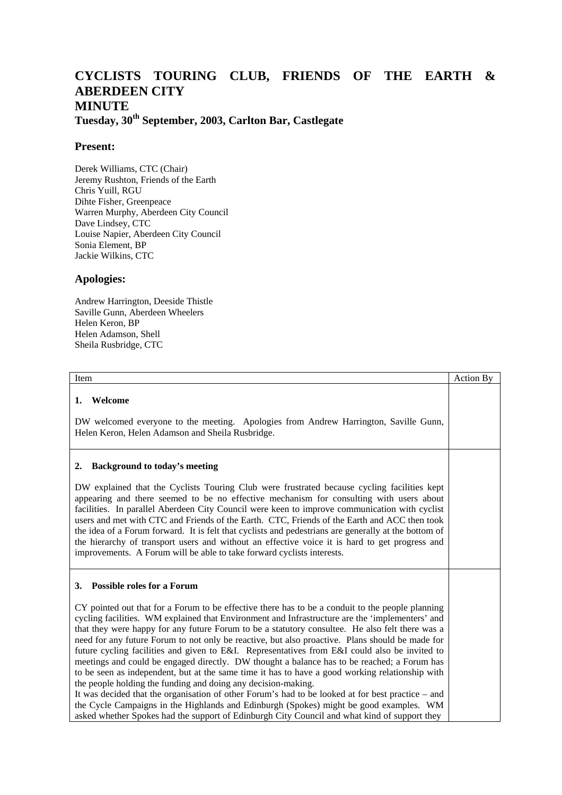## **CYCLISTS TOURING CLUB, FRIENDS OF THE EARTH & ABERDEEN CITY MINUTE**

**Tuesday, 30th September, 2003, Carlton Bar, Castlegate**

## **Present:**

Derek Williams, CTC (Chair) Jeremy Rushton, Friends of the Earth Chris Yuill, RGU Dihte Fisher, Greenpeace Warren Murphy, Aberdeen City Council Dave Lindsey, CTC Louise Napier, Aberdeen City Council Sonia Element, BP Jackie Wilkins, CTC

## **Apologies:**

Andrew Harrington, Deeside Thistle Saville Gunn, Aberdeen Wheelers Helen Keron, BP Helen Adamson, Shell Sheila Rusbridge, CTC

| Item                                                                                                                                                                                                                                                                                                                                                                                                                                                                                                                                                                                                                                                                                                                                                                                                                                                                                                                                                                                                                                                                                                          | <b>Action By</b> |
|---------------------------------------------------------------------------------------------------------------------------------------------------------------------------------------------------------------------------------------------------------------------------------------------------------------------------------------------------------------------------------------------------------------------------------------------------------------------------------------------------------------------------------------------------------------------------------------------------------------------------------------------------------------------------------------------------------------------------------------------------------------------------------------------------------------------------------------------------------------------------------------------------------------------------------------------------------------------------------------------------------------------------------------------------------------------------------------------------------------|------------------|
| Welcome<br>1.<br>DW welcomed everyone to the meeting. Apologies from Andrew Harrington, Saville Gunn,<br>Helen Keron, Helen Adamson and Sheila Rusbridge.                                                                                                                                                                                                                                                                                                                                                                                                                                                                                                                                                                                                                                                                                                                                                                                                                                                                                                                                                     |                  |
| <b>Background to today's meeting</b><br>2.<br>DW explained that the Cyclists Touring Club were frustrated because cycling facilities kept<br>appearing and there seemed to be no effective mechanism for consulting with users about<br>facilities. In parallel Aberdeen City Council were keen to improve communication with cyclist<br>users and met with CTC and Friends of the Earth. CTC, Friends of the Earth and ACC then took<br>the idea of a Forum forward. It is felt that cyclists and pedestrians are generally at the bottom of<br>the hierarchy of transport users and without an effective voice it is hard to get progress and<br>improvements. A Forum will be able to take forward cyclists interests.                                                                                                                                                                                                                                                                                                                                                                                     |                  |
| 3. Possible roles for a Forum<br>CY pointed out that for a Forum to be effective there has to be a conduit to the people planning<br>cycling facilities. WM explained that Environment and Infrastructure are the 'implementers' and<br>that they were happy for any future Forum to be a statutory consultee. He also felt there was a<br>need for any future Forum to not only be reactive, but also proactive. Plans should be made for<br>future cycling facilities and given to E&I. Representatives from E&I could also be invited to<br>meetings and could be engaged directly. DW thought a balance has to be reached; a Forum has<br>to be seen as independent, but at the same time it has to have a good working relationship with<br>the people holding the funding and doing any decision-making.<br>It was decided that the organisation of other Forum's had to be looked at for best practice - and<br>the Cycle Campaigns in the Highlands and Edinburgh (Spokes) might be good examples. WM<br>asked whether Spokes had the support of Edinburgh City Council and what kind of support they |                  |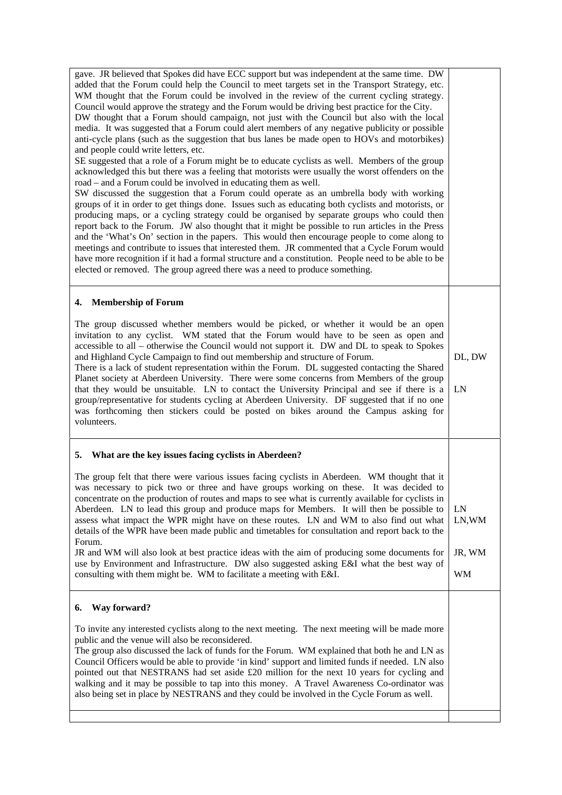| gave. JR believed that Spokes did have ECC support but was independent at the same time. DW<br>added that the Forum could help the Council to meet targets set in the Transport Strategy, etc.<br>WM thought that the Forum could be involved in the review of the current cycling strategy.<br>Council would approve the strategy and the Forum would be driving best practice for the City.<br>DW thought that a Forum should campaign, not just with the Council but also with the local<br>media. It was suggested that a Forum could alert members of any negative publicity or possible<br>anti-cycle plans (such as the suggestion that bus lanes be made open to HOVs and motorbikes)<br>and people could write letters, etc.<br>SE suggested that a role of a Forum might be to educate cyclists as well. Members of the group<br>acknowledged this but there was a feeling that motorists were usually the worst offenders on the<br>road – and a Forum could be involved in educating them as well.<br>SW discussed the suggestion that a Forum could operate as an umbrella body with working<br>groups of it in order to get things done. Issues such as educating both cyclists and motorists, or<br>producing maps, or a cycling strategy could be organised by separate groups who could then<br>report back to the Forum. JW also thought that it might be possible to run articles in the Press<br>and the 'What's On' section in the papers. This would then encourage people to come along to<br>meetings and contribute to issues that interested them. JR commented that a Cycle Forum would<br>have more recognition if it had a formal structure and a constitution. People need to be able to be<br>elected or removed. The group agreed there was a need to produce something. |                              |
|----------------------------------------------------------------------------------------------------------------------------------------------------------------------------------------------------------------------------------------------------------------------------------------------------------------------------------------------------------------------------------------------------------------------------------------------------------------------------------------------------------------------------------------------------------------------------------------------------------------------------------------------------------------------------------------------------------------------------------------------------------------------------------------------------------------------------------------------------------------------------------------------------------------------------------------------------------------------------------------------------------------------------------------------------------------------------------------------------------------------------------------------------------------------------------------------------------------------------------------------------------------------------------------------------------------------------------------------------------------------------------------------------------------------------------------------------------------------------------------------------------------------------------------------------------------------------------------------------------------------------------------------------------------------------------------------------------------------------------------------------------------------------------------------------------|------------------------------|
| <b>Membership of Forum</b><br>4.                                                                                                                                                                                                                                                                                                                                                                                                                                                                                                                                                                                                                                                                                                                                                                                                                                                                                                                                                                                                                                                                                                                                                                                                                                                                                                                                                                                                                                                                                                                                                                                                                                                                                                                                                                         |                              |
| The group discussed whether members would be picked, or whether it would be an open<br>invitation to any cyclist. WM stated that the Forum would have to be seen as open and<br>accessible to all - otherwise the Council would not support it. DW and DL to speak to Spokes<br>and Highland Cycle Campaign to find out membership and structure of Forum.<br>There is a lack of student representation within the Forum. DL suggested contacting the Shared<br>Planet society at Aberdeen University. There were some concerns from Members of the group<br>that they would be unsuitable. LN to contact the University Principal and see if there is a<br>group/representative for students cycling at Aberdeen University. DF suggested that if no one<br>was forthcoming then stickers could be posted on bikes around the Campus asking for<br>volunteers.                                                                                                                                                                                                                                                                                                                                                                                                                                                                                                                                                                                                                                                                                                                                                                                                                                                                                                                                          | DL, DW<br>LN                 |
| 5. What are the key issues facing cyclists in Aberdeen?                                                                                                                                                                                                                                                                                                                                                                                                                                                                                                                                                                                                                                                                                                                                                                                                                                                                                                                                                                                                                                                                                                                                                                                                                                                                                                                                                                                                                                                                                                                                                                                                                                                                                                                                                  |                              |
| The group felt that there were various issues facing cyclists in Aberdeen. WM thought that it<br>was necessary to pick two or three and have groups working on these. It was decided to<br>concentrate on the production of routes and maps to see what is currently available for cyclists in<br>Aberdeen. LN to lead this group and produce maps for Members. It will then be possible to<br>assess what impact the WPR might have on these routes. LN and WM to also find out what<br>details of the WPR have been made public and timetables for consultation and report back to the<br>Forum.<br>JR and WM will also look at best practice ideas with the aim of producing some documents for<br>use by Environment and Infrastructure. DW also suggested asking E&I what the best way of<br>consulting with them might be. WM to facilitate a meeting with E&I.                                                                                                                                                                                                                                                                                                                                                                                                                                                                                                                                                                                                                                                                                                                                                                                                                                                                                                                                    | LN<br>LN, WM<br>JR, WM<br>WM |
| Way forward?<br>6.                                                                                                                                                                                                                                                                                                                                                                                                                                                                                                                                                                                                                                                                                                                                                                                                                                                                                                                                                                                                                                                                                                                                                                                                                                                                                                                                                                                                                                                                                                                                                                                                                                                                                                                                                                                       |                              |
| To invite any interested cyclists along to the next meeting. The next meeting will be made more<br>public and the venue will also be reconsidered.<br>The group also discussed the lack of funds for the Forum. WM explained that both he and LN as<br>Council Officers would be able to provide 'in kind' support and limited funds if needed. LN also<br>pointed out that NESTRANS had set aside £20 million for the next 10 years for cycling and<br>walking and it may be possible to tap into this money. A Travel Awareness Co-ordinator was<br>also being set in place by NESTRANS and they could be involved in the Cycle Forum as well.                                                                                                                                                                                                                                                                                                                                                                                                                                                                                                                                                                                                                                                                                                                                                                                                                                                                                                                                                                                                                                                                                                                                                         |                              |